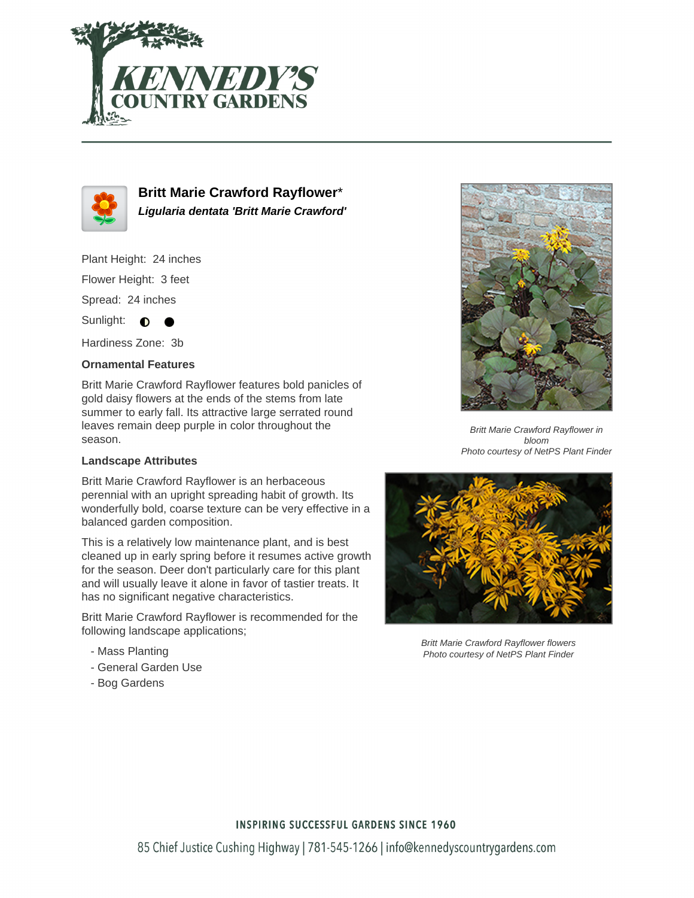



**Britt Marie Crawford Rayflower**\* **Ligularia dentata 'Britt Marie Crawford'**

Plant Height: 24 inches

Flower Height: 3 feet

Spread: 24 inches

Sunlight:  $\bullet$  $\bullet$ 

Hardiness Zone: 3b

## **Ornamental Features**

Britt Marie Crawford Rayflower features bold panicles of gold daisy flowers at the ends of the stems from late summer to early fall. Its attractive large serrated round leaves remain deep purple in color throughout the season.

## **Landscape Attributes**

Britt Marie Crawford Rayflower is an herbaceous perennial with an upright spreading habit of growth. Its wonderfully bold, coarse texture can be very effective in a balanced garden composition.

This is a relatively low maintenance plant, and is best cleaned up in early spring before it resumes active growth for the season. Deer don't particularly care for this plant and will usually leave it alone in favor of tastier treats. It has no significant negative characteristics.

Britt Marie Crawford Rayflower is recommended for the following landscape applications;

- Mass Planting
- General Garden Use
- Bog Gardens



Britt Marie Crawford Rayflower in bloom Photo courtesy of NetPS Plant Finder



Britt Marie Crawford Rayflower flowers Photo courtesy of NetPS Plant Finder